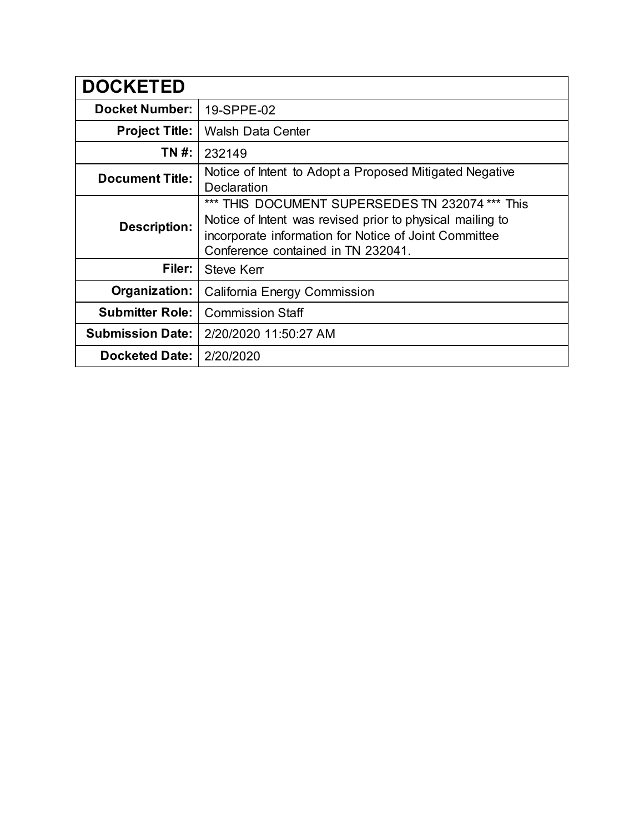| <b>DOCKETED</b>         |                                                                                                                                                                                                             |  |
|-------------------------|-------------------------------------------------------------------------------------------------------------------------------------------------------------------------------------------------------------|--|
| <b>Docket Number:</b>   | 19-SPPE-02                                                                                                                                                                                                  |  |
| <b>Project Title:</b>   | <b>Walsh Data Center</b>                                                                                                                                                                                    |  |
| TN #:                   | 232149                                                                                                                                                                                                      |  |
| <b>Document Title:</b>  | Notice of Intent to Adopt a Proposed Mitigated Negative<br>Declaration                                                                                                                                      |  |
| <b>Description:</b>     | *** THIS DOCUMENT SUPERSEDES TN 232074 *** This<br>Notice of Intent was revised prior to physical mailing to<br>incorporate information for Notice of Joint Committee<br>Conference contained in TN 232041. |  |
| Filer:                  | Steve Kerr                                                                                                                                                                                                  |  |
| Organization:           | California Energy Commission                                                                                                                                                                                |  |
| <b>Submitter Role:</b>  | <b>Commission Staff</b>                                                                                                                                                                                     |  |
| <b>Submission Date:</b> | 2/20/2020 11:50:27 AM                                                                                                                                                                                       |  |
| <b>Docketed Date:</b>   | 2/20/2020                                                                                                                                                                                                   |  |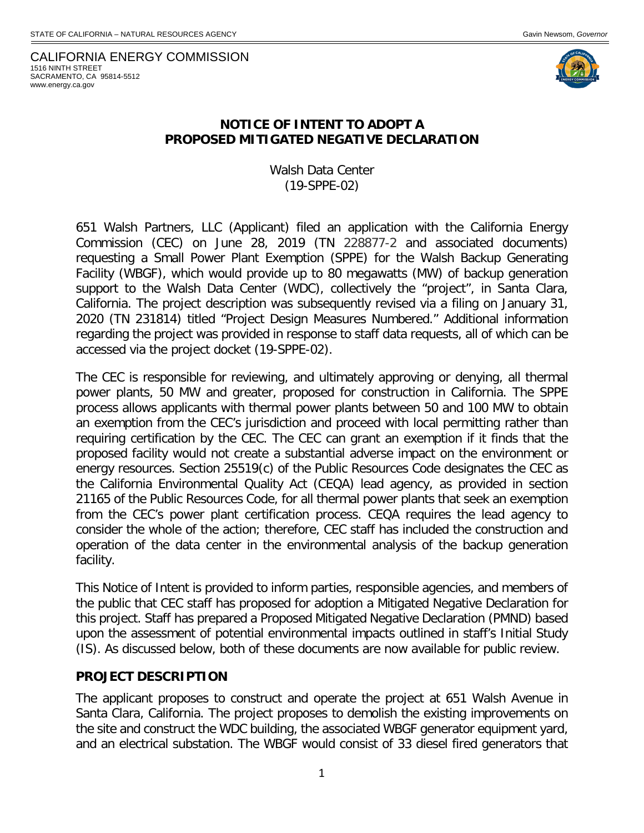CALIFORNIA ENERGY COMMISSION 1516 NINTH STREET SACRAMENTO, CA 95814-5512 www.energy.ca.gov



#### **NOTICE OF INTENT TO ADOPT A PROPOSED MITIGATED NEGATIVE DECLARATION**

Walsh Data Center (19-SPPE-02)

651 Walsh Partners, LLC (Applicant) filed an application with the California Energy Commission (CEC) on June 28, 2019 (TN 228877-2 and associated documents) requesting a Small Power Plant Exemption (SPPE) for the Walsh Backup Generating Facility (WBGF), which would provide up to 80 megawatts (MW) of backup generation support to the Walsh Data Center (WDC), collectively the "project", in Santa Clara, California. The project description was subsequently revised via a filing on January 31, 2020 (TN 231814) titled "Project Design Measures Numbered." Additional information regarding the project was provided in response to staff data requests, all of which can be accessed via the project docket (19-SPPE-02).

The CEC is responsible for reviewing, and ultimately approving or denying, all thermal power plants, 50 MW and greater, proposed for construction in California. The SPPE process allows applicants with thermal power plants between 50 and 100 MW to obtain an exemption from the CEC's jurisdiction and proceed with local permitting rather than requiring certification by the CEC. The CEC can grant an exemption if it finds that the proposed facility would not create a substantial adverse impact on the environment or energy resources. Section 25519(c) of the Public Resources Code designates the CEC as the California Environmental Quality Act (CEQA) lead agency, as provided in section 21165 of the Public Resources Code, for all thermal power plants that seek an exemption from the CEC's power plant certification process. CEQA requires the lead agency to consider the whole of the action; therefore, CEC staff has included the construction and operation of the data center in the environmental analysis of the backup generation facility.

This Notice of Intent is provided to inform parties, responsible agencies, and members of the public that CEC staff has proposed for adoption a Mitigated Negative Declaration for this project. Staff has prepared a Proposed Mitigated Negative Declaration (PMND) based upon the assessment of potential environmental impacts outlined in staff's Initial Study (IS). As discussed below, both of these documents are now available for public review.

#### **PROJECT DESCRIPTION**

The applicant proposes to construct and operate the project at 651 Walsh Avenue in Santa Clara, California. The project proposes to demolish the existing improvements on the site and construct the WDC building, the associated WBGF generator equipment yard, and an electrical substation. The WBGF would consist of 33 diesel fired generators that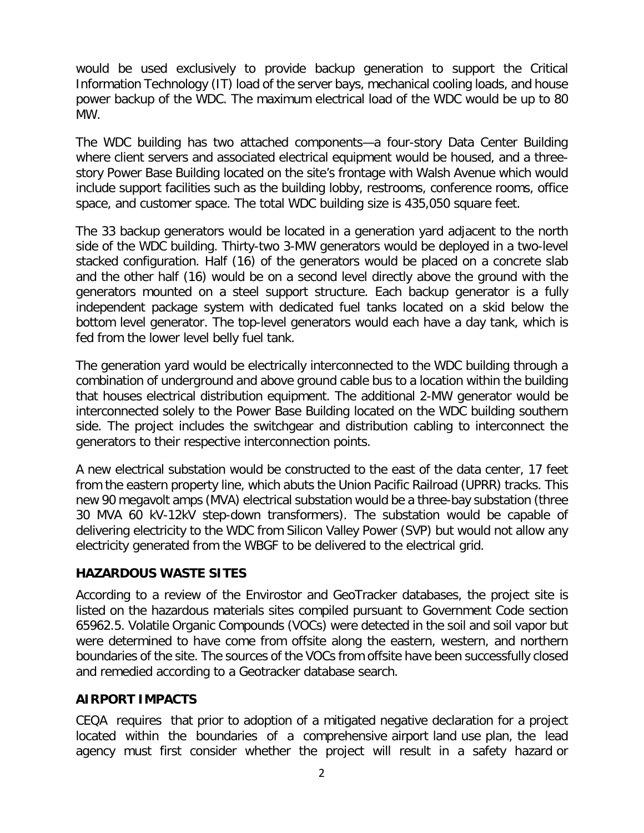would be used exclusively to provide backup generation to support the Critical Information Technology (IT) load of the server bays, mechanical cooling loads, and house power backup of the WDC. The maximum electrical load of the WDC would be up to 80 MW.

The WDC building has two attached components—a four-story Data Center Building where client servers and associated electrical equipment would be housed, and a threestory Power Base Building located on the site's frontage with Walsh Avenue which would include support facilities such as the building lobby, restrooms, conference rooms, office space, and customer space. The total WDC building size is 435,050 square feet.

The 33 backup generators would be located in a generation yard adjacent to the north side of the WDC building. Thirty-two 3-MW generators would be deployed in a two-level stacked configuration. Half (16) of the generators would be placed on a concrete slab and the other half (16) would be on a second level directly above the ground with the generators mounted on a steel support structure. Each backup generator is a fully independent package system with dedicated fuel tanks located on a skid below the bottom level generator. The top-level generators would each have a day tank, which is fed from the lower level belly fuel tank.

The generation yard would be electrically interconnected to the WDC building through a combination of underground and above ground cable bus to a location within the building that houses electrical distribution equipment. The additional 2-MW generator would be interconnected solely to the Power Base Building located on the WDC building southern side. The project includes the switchgear and distribution cabling to interconnect the generators to their respective interconnection points.

A new electrical substation would be constructed to the east of the data center, 17 feet from the eastern property line, which abuts the Union Pacific Railroad (UPRR) tracks. This new 90 megavolt amps (MVA) electrical substation would be a three-bay substation (three 30 MVA 60 kV-12kV step-down transformers). The substation would be capable of delivering electricity to the WDC from Silicon Valley Power (SVP) but would not allow any electricity generated from the WBGF to be delivered to the electrical grid.

## **HAZARDOUS WASTE SITES**

According to a review of the Envirostor and GeoTracker databases, the project site is listed on the hazardous materials sites compiled pursuant to Government Code section 65962.5. Volatile Organic Compounds (VOCs) were detected in the soil and soil vapor but were determined to have come from offsite along the eastern, western, and northern boundaries of the site. The sources of the VOCs from offsite have been successfully closed and remedied according to a Geotracker database search.

## **AIRPORT IMPACTS**

CEQA requires that prior to adoption of a mitigated negative declaration for a project located within the boundaries of a comprehensive airport land use plan, the lead agency must first consider whether the project will result in a safety hazard or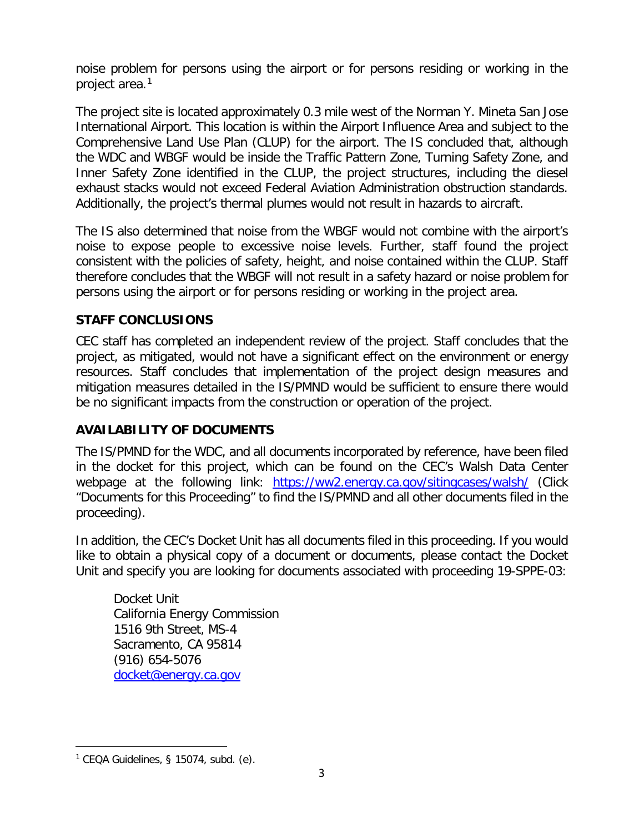noise problem for persons using the airport or for persons residing or working in the project area.[1](#page-3-0)

The project site is located approximately 0.3 mile west of the Norman Y. Mineta San Jose International Airport. This location is within the Airport Influence Area and subject to the Comprehensive Land Use Plan (CLUP) for the airport. The IS concluded that, although the WDC and WBGF would be inside the Traffic Pattern Zone, Turning Safety Zone, and Inner Safety Zone identified in the CLUP, the project structures, including the diesel exhaust stacks would not exceed Federal Aviation Administration obstruction standards. Additionally, the project's thermal plumes would not result in hazards to aircraft.

The IS also determined that noise from the WBGF would not combine with the airport's noise to expose people to excessive noise levels. Further, staff found the project consistent with the policies of safety, height, and noise contained within the CLUP. Staff therefore concludes that the WBGF will not result in a safety hazard or noise problem for persons using the airport or for persons residing or working in the project area.

# **STAFF CONCLUSIONS**

CEC staff has completed an independent review of the project. Staff concludes that the project, as mitigated, would not have a significant effect on the environment or energy resources. Staff concludes that implementation of the project design measures and mitigation measures detailed in the IS/PMND would be sufficient to ensure there would be no significant impacts from the construction or operation of the project.

## **AVAILABILITY OF DOCUMENTS**

The IS/PMND for the WDC, and all documents incorporated by reference, have been filed in the docket for this project, which can be found on the CEC's Walsh Data Center webpage at the following link: <https://ww2.energy.ca.gov/sitingcases/walsh/> (Click "Documents for this Proceeding" to find the IS/PMND and all other documents filed in the proceeding).

In addition, the CEC's Docket Unit has all documents filed in this proceeding. If you would like to obtain a physical copy of a document or documents, please contact the Docket Unit and specify you are looking for documents associated with proceeding 19-SPPE-03:

Docket Unit California Energy Commission 1516 9th Street, MS-4 Sacramento, CA 95814 (916) 654-5076 [docket@energy.ca.gov](mailto:docket@energy.ca.gov)

 $\overline{a}$ 

<span id="page-3-0"></span> $1$  CEQA Guidelines, § 15074, subd. (e).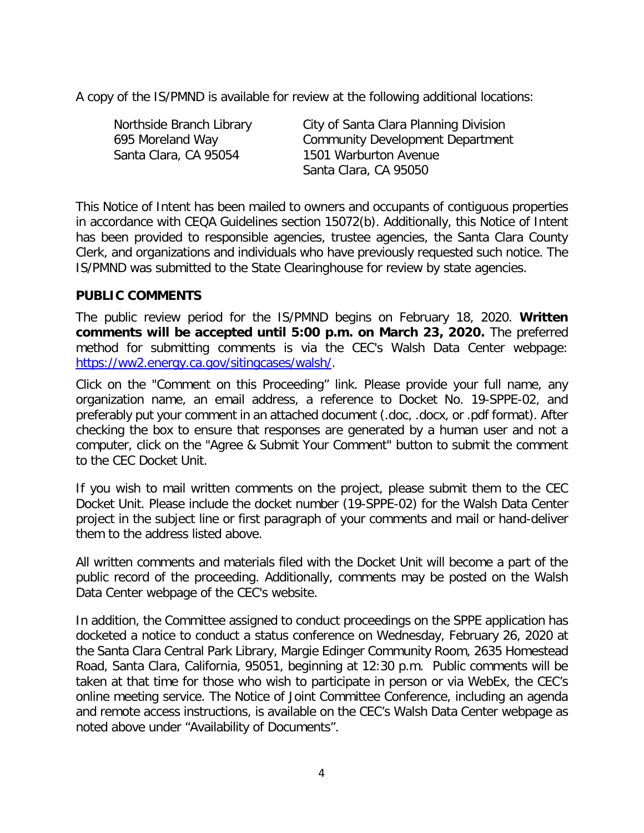A copy of the IS/PMND is available for review at the following additional locations:

| Northside Branch Library | City of Santa Clara Planning Division   |
|--------------------------|-----------------------------------------|
| 695 Moreland Way         | <b>Community Development Department</b> |
| Santa Clara, CA 95054    | 1501 Warburton Avenue                   |
|                          | Santa Clara, CA 95050                   |

This Notice of Intent has been mailed to owners and occupants of contiguous properties in accordance with CEQA Guidelines section 15072(b). Additionally, this Notice of Intent has been provided to responsible agencies, trustee agencies, the Santa Clara County Clerk, and organizations and individuals who have previously requested such notice. The IS/PMND was submitted to the State Clearinghouse for review by state agencies.

#### **PUBLIC COMMENTS**

The public review period for the IS/PMND begins on February 18, 2020. **Written comments will be accepted until 5:00 p.m. on March 23, 2020.** The preferred method for submitting comments is via the CEC's Walsh Data Center webpage: [https://ww2.energy.ca.gov/sitingcases/walsh/.](https://ww2.energy.ca.gov/sitingcases/walsh/)

Click on the "Comment on this Proceeding" link. Please provide your full name, any organization name, an email address, a reference to Docket No. 19-SPPE-02, and preferably put your comment in an attached document (.doc, .docx, or .pdf format). After checking the box to ensure that responses are generated by a human user and not a computer, click on the "Agree & Submit Your Comment" button to submit the comment to the CEC Docket Unit.

If you wish to mail written comments on the project, please submit them to the CEC Docket Unit. Please include the docket number (19-SPPE-02) for the Walsh Data Center project in the subject line or first paragraph of your comments and mail or hand-deliver them to the address listed above.

All written comments and materials filed with the Docket Unit will become a part of the public record of the proceeding. Additionally, comments may be posted on the Walsh Data Center webpage of the CEC's website.

In addition, the Committee assigned to conduct proceedings on the SPPE application has docketed a notice to conduct a status conference on Wednesday, February 26, 2020 at the Santa Clara Central Park Library, Margie Edinger Community Room, 2635 Homestead Road, Santa Clara, California, 95051, beginning at 12:30 p.m. Public comments will be taken at that time for those who wish to participate in person or via WebEx, the CEC's online meeting service. The Notice of Joint Committee Conference, including an agenda and remote access instructions, is available on the CEC's Walsh Data Center webpage as noted above under "Availability of Documents".